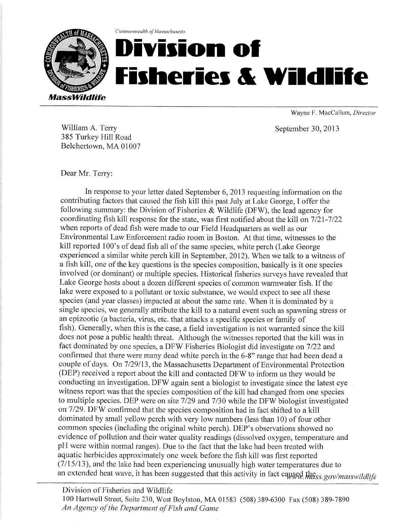

## Commonwealth of Massachusetts Division of<br>Fisheries & Wildlife

Wayne F. MacCallum, Director

September 30,2013

William A. Terry 385 Turkey Hill Road Belchertown, MA 01007

## Dear Mr. Terry:

In response to your letter dated September 6,2013 requesting information on the contributing factors that caused the fish kill this past July at Lake George, I offer the following summary: the Division of Fisheries  $&$  Wildlife (DFW), the lead agency for coordinating fish kill response for the state, was first notified about the kill on 7/21-7/22 when reports of dead fish were made to our Field Headquarters as well as our Environmental Law Enforcement radio room in Boston. At that time, witnesses to the kill reported 100's of dead fish all of the same species, white perch (Lake George experienced a similar white perch kill in September,2012). When we talk to a witness of a fish kill, one of the key questions is the species composition, basically is it one species involved (or dominant) or multiple species. Historical fisheries suweys have revealed that Lake George hosts about a dozen different species of common warmwater fish. If the lake were exposed to a pollutant or toxic substance, we would expect to see all these species (and year classes) impacted at about the same rate. When it is dominated by a single species, we generally attribute the kill to a natural event such as spawning stress or an epizootic (a bacteria, virus, etc. that attacks a specific species or family of fish). Generally, when this is the case, a field investigation is not warranted since the kill does not pose a public health threat. Although the witnesses reported that the kill was in fact dominated by one species, a DFW Fisheries Biologist did investigate on 7122 and confirmed that there were many dead white perch in the 6-8" range that had been dead a couple of days. On 7/29/13, the Massachusetts Department of Environmental Protection (DEP) received a report about the kill and contacted DFW to inform us they would be conducting an investigation. DFV/ again sent a biologist to investigate since the latest eye witness report was that the species composition of the kill had changed from one species to multiple species. DEP were on site  $7/29$  and  $7/30$  while the DFW biologist investigated on 7/29. DFW confirmed that the species composition had in fact shifted to a kill dominated by small yellow perch with very low numbers (less than 10) of four other common species (including the original white perch). DEP's observations showed no evidence of pollution and their water quality readings (dissolved oxygen, temperature and pH were within normal ranges). Due to the fact that the lake had been treated with aquatic herbicides approximately one week before the fish kill was first reported  $(7/15/13)$ , and the lake had been experiencing unusually high water temperatures due to an extended heat wave, it has been suggested that this activity in fact caysed the ss. gov/masswildlife

Division of Fisheries and Wildlife

100 Hartwell Street, Suite 230, West Boylston, MA 01583 (508) 3S9-6300 Fax (50S) 3S9-7890 An Agency of the Department of Fish and Game